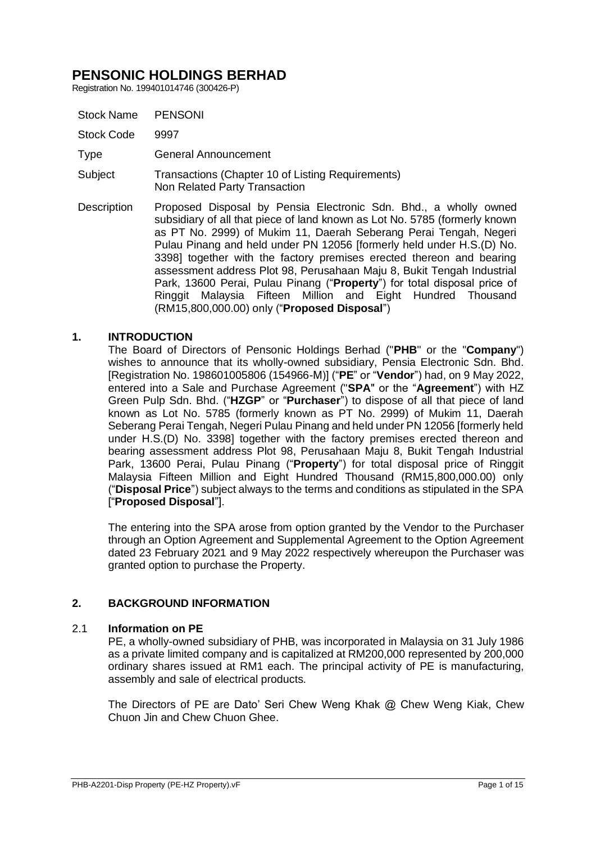Registration No. 199401014746 (300426-P)

| <b>Stock Name</b> | <b>PENSONI</b>                                                                                                                                                                                                                                                                                                                                                                                                                                                                                                                                                                                                                                     |
|-------------------|----------------------------------------------------------------------------------------------------------------------------------------------------------------------------------------------------------------------------------------------------------------------------------------------------------------------------------------------------------------------------------------------------------------------------------------------------------------------------------------------------------------------------------------------------------------------------------------------------------------------------------------------------|
| <b>Stock Code</b> | 9997                                                                                                                                                                                                                                                                                                                                                                                                                                                                                                                                                                                                                                               |
| Type              | General Announcement                                                                                                                                                                                                                                                                                                                                                                                                                                                                                                                                                                                                                               |
| Subject           | Transactions (Chapter 10 of Listing Requirements)<br>Non Related Party Transaction                                                                                                                                                                                                                                                                                                                                                                                                                                                                                                                                                                 |
| Description       | Proposed Disposal by Pensia Electronic Sdn. Bhd., a wholly owned<br>subsidiary of all that piece of land known as Lot No. 5785 (formerly known<br>as PT No. 2999) of Mukim 11, Daerah Seberang Perai Tengah, Negeri<br>Pulau Pinang and held under PN 12056 [formerly held under H.S.(D) No.<br>3398] together with the factory premises erected thereon and bearing<br>assessment address Plot 98, Perusahaan Maju 8, Bukit Tengah Industrial<br>Park, 13600 Perai, Pulau Pinang ("Property") for total disposal price of<br>Ringgit Malaysia Fifteen Million and Eight Hundred Thousand<br>(RM15,800,000.00) only (" <b>Proposed Disposal</b> ") |

# **1. INTRODUCTION**

The Board of Directors of Pensonic Holdings Berhad ("**PHB**" or the "**Company**") wishes to announce that its wholly-owned subsidiary, Pensia Electronic Sdn. Bhd. [Registration No. 198601005806 (154966-M)] ("**PE**" or "**Vendor**") had, on 9 May 2022, entered into a Sale and Purchase Agreement ("**SPA**" or the "**Agreement**") with HZ Green Pulp Sdn. Bhd. ("**HZGP**" or "**Purchaser**") to dispose of all that piece of land known as Lot No. 5785 (formerly known as PT No. 2999) of Mukim 11, Daerah Seberang Perai Tengah, Negeri Pulau Pinang and held under PN 12056 [formerly held under H.S.(D) No. 3398] together with the factory premises erected thereon and bearing assessment address Plot 98, Perusahaan Maju 8, Bukit Tengah Industrial Park, 13600 Perai, Pulau Pinang ("**Property**") for total disposal price of Ringgit Malaysia Fifteen Million and Eight Hundred Thousand (RM15,800,000.00) only ("**Disposal Price**") subject always to the terms and conditions as stipulated in the SPA ["**Proposed Disposal**"].

The entering into the SPA arose from option granted by the Vendor to the Purchaser through an Option Agreement and Supplemental Agreement to the Option Agreement dated 23 February 2021 and 9 May 2022 respectively whereupon the Purchaser was granted option to purchase the Property.

# **2. BACKGROUND INFORMATION**

# 2.1 **Information on PE**

PE, a wholly-owned subsidiary of PHB, was incorporated in Malaysia on 31 July 1986 as a private limited company and is capitalized at RM200,000 represented by 200,000 ordinary shares issued at RM1 each. The principal activity of PE is manufacturing, assembly and sale of electrical products.

The Directors of PE are Dato' Seri Chew Weng Khak @ Chew Weng Kiak, Chew Chuon Jin and Chew Chuon Ghee.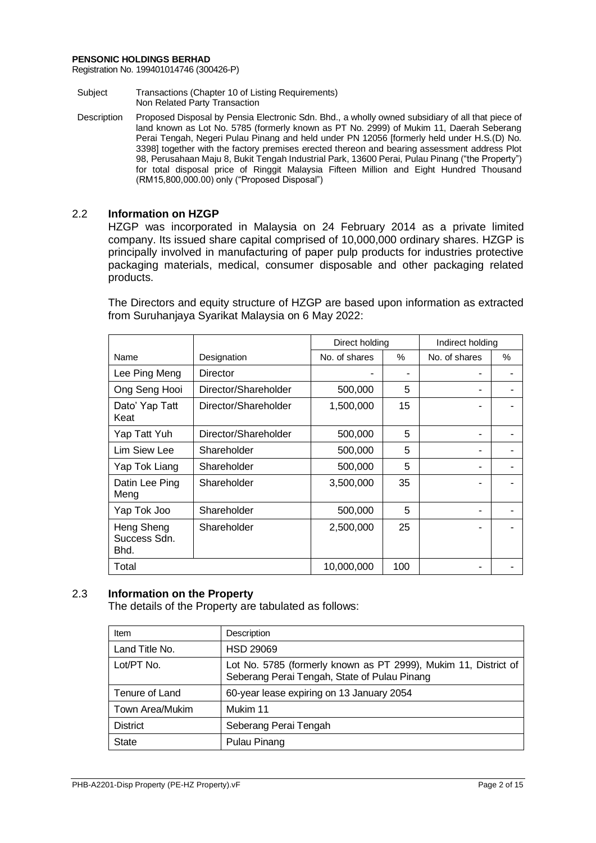Registration No. 199401014746 (300426-P)

- Subject Transactions (Chapter 10 of Listing Requirements) Non Related Party Transaction
- Description Proposed Disposal by Pensia Electronic Sdn. Bhd., a wholly owned subsidiary of all that piece of land known as Lot No. 5785 (formerly known as PT No. 2999) of Mukim 11, Daerah Seberang Perai Tengah, Negeri Pulau Pinang and held under PN 12056 [formerly held under H.S.(D) No. 3398] together with the factory premises erected thereon and bearing assessment address Plot 98, Perusahaan Maju 8, Bukit Tengah Industrial Park, 13600 Perai, Pulau Pinang ("the Property") for total disposal price of Ringgit Malaysia Fifteen Million and Eight Hundred Thousand (RM15,800,000.00) only ("Proposed Disposal")

# 2.2 **Information on HZGP**

HZGP was incorporated in Malaysia on 24 February 2014 as a private limited company. Its issued share capital comprised of 10,000,000 ordinary shares. HZGP is principally involved in manufacturing of paper pulp products for industries protective packaging materials, medical, consumer disposable and other packaging related products.

The Directors and equity structure of HZGP are based upon information as extracted from Suruhanjaya Syarikat Malaysia on 6 May 2022:

|                                    |                      | Direct holding |     | Indirect holding |   |
|------------------------------------|----------------------|----------------|-----|------------------|---|
| Name                               | Designation          | No. of shares  | %   | No. of shares    | % |
| Lee Ping Meng                      | Director             |                | ۰   |                  |   |
| Ong Seng Hooi                      | Director/Shareholder | 500,000        | 5   |                  |   |
| Dato' Yap Tatt<br>Keat             | Director/Shareholder | 1,500,000      | 15  |                  |   |
| Yap Tatt Yuh                       | Director/Shareholder | 500,000        | 5   |                  |   |
| Lim Siew Lee                       | Shareholder          | 500,000        | 5   |                  |   |
| Yap Tok Liang                      | Shareholder          | 500,000        | 5   |                  |   |
| Datin Lee Ping<br>Meng             | Shareholder          | 3,500,000      | 35  |                  |   |
| Yap Tok Joo                        | Shareholder          | 500,000        | 5   |                  |   |
| Heng Sheng<br>Success Sdn.<br>Bhd. | Shareholder          | 2,500,000      | 25  |                  |   |
| Total                              |                      | 10,000,000     | 100 |                  |   |

# 2.3 **Information on the Property**

The details of the Property are tabulated as follows:

| Item            | Description                                                                                                     |
|-----------------|-----------------------------------------------------------------------------------------------------------------|
| Land Title No.  | <b>HSD 29069</b>                                                                                                |
| Lot/PT No.      | Lot No. 5785 (formerly known as PT 2999), Mukim 11, District of<br>Seberang Perai Tengah, State of Pulau Pinang |
| Tenure of Land  | 60-year lease expiring on 13 January 2054                                                                       |
| Town Area/Mukim | Mukim 11                                                                                                        |
| <b>District</b> | Seberang Perai Tengah                                                                                           |
| <b>State</b>    | Pulau Pinang                                                                                                    |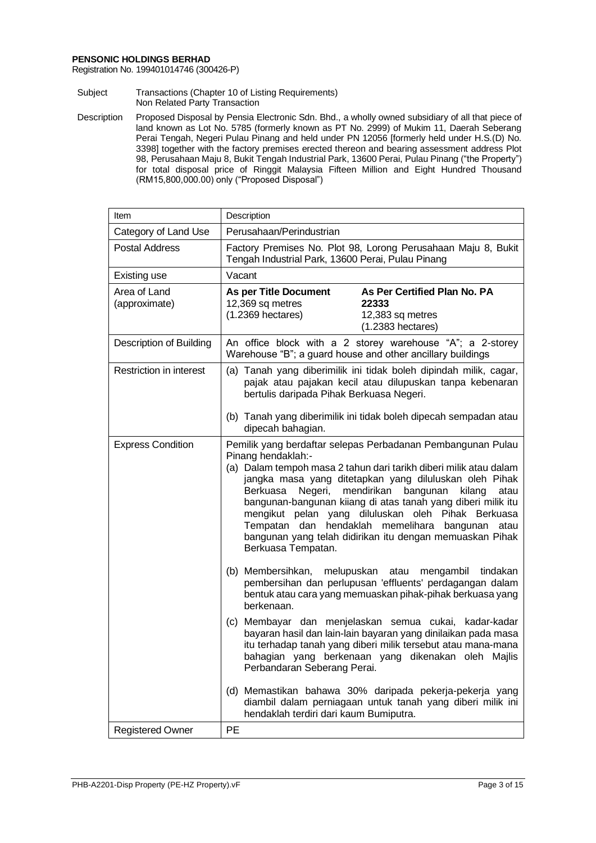Registration No. 199401014746 (300426-P)

- Subject Transactions (Chapter 10 of Listing Requirements) Non Related Party Transaction
- Description Proposed Disposal by Pensia Electronic Sdn. Bhd., a wholly owned subsidiary of all that piece of land known as Lot No. 5785 (formerly known as PT No. 2999) of Mukim 11, Daerah Seberang Perai Tengah, Negeri Pulau Pinang and held under PN 12056 [formerly held under H.S.(D) No. 3398] together with the factory premises erected thereon and bearing assessment address Plot 98, Perusahaan Maju 8, Bukit Tengah Industrial Park, 13600 Perai, Pulau Pinang ("the Property") for total disposal price of Ringgit Malaysia Fifteen Million and Eight Hundred Thousand (RM15,800,000.00) only ("Proposed Disposal")

| Item                           | Description                                                                                                                                                                                                                                                                                                                                                                                                                                                                                                                                 |  |  |
|--------------------------------|---------------------------------------------------------------------------------------------------------------------------------------------------------------------------------------------------------------------------------------------------------------------------------------------------------------------------------------------------------------------------------------------------------------------------------------------------------------------------------------------------------------------------------------------|--|--|
| Category of Land Use           | Perusahaan/Perindustrian                                                                                                                                                                                                                                                                                                                                                                                                                                                                                                                    |  |  |
| <b>Postal Address</b>          | Factory Premises No. Plot 98, Lorong Perusahaan Maju 8, Bukit<br>Tengah Industrial Park, 13600 Perai, Pulau Pinang                                                                                                                                                                                                                                                                                                                                                                                                                          |  |  |
| Existing use                   | Vacant                                                                                                                                                                                                                                                                                                                                                                                                                                                                                                                                      |  |  |
| Area of Land<br>(approximate)  | As Per Certified Plan No. PA<br>As per Title Document<br>12,369 sq metres<br>22333<br>$(1.2369$ hectares)<br>12,383 sq metres<br>$(1.2383)$ hectares)                                                                                                                                                                                                                                                                                                                                                                                       |  |  |
| <b>Description of Building</b> | An office block with a 2 storey warehouse "A"; a 2-storey<br>Warehouse "B"; a guard house and other ancillary buildings                                                                                                                                                                                                                                                                                                                                                                                                                     |  |  |
| Restriction in interest        | (a) Tanah yang diberimilik ini tidak boleh dipindah milik, cagar,<br>pajak atau pajakan kecil atau dilupuskan tanpa kebenaran<br>bertulis daripada Pihak Berkuasa Negeri.<br>(b) Tanah yang diberimilik ini tidak boleh dipecah sempadan atau                                                                                                                                                                                                                                                                                               |  |  |
|                                | dipecah bahagian.                                                                                                                                                                                                                                                                                                                                                                                                                                                                                                                           |  |  |
| <b>Express Condition</b>       | Pemilik yang berdaftar selepas Perbadanan Pembangunan Pulau<br>Pinang hendaklah:-<br>(a) Dalam tempoh masa 2 tahun dari tarikh diberi milik atau dalam<br>jangka masa yang ditetapkan yang diluluskan oleh Pihak<br>mendirikan bangunan<br>Negeri,<br>Berkuasa<br>kilang<br>atau<br>bangunan-bangunan kiiang di atas tanah yang diberi milik itu<br>mengikut pelan yang diluluskan oleh Pihak Berkuasa<br>Tempatan dan hendaklah memelihara bangunan atau<br>bangunan yang telah didirikan itu dengan memuaskan Pihak<br>Berkuasa Tempatan. |  |  |
|                                | (b) Membersihkan, melupuskan atau mengambil<br>tindakan<br>pembersihan dan perlupusan 'effluents' perdagangan dalam<br>bentuk atau cara yang memuaskan pihak-pihak berkuasa yang<br>berkenaan.                                                                                                                                                                                                                                                                                                                                              |  |  |
|                                | (c) Membayar dan menjelaskan semua cukai, kadar-kadar<br>bayaran hasil dan lain-lain bayaran yang dinilaikan pada masa<br>itu terhadap tanah yang diberi milik tersebut atau mana-mana<br>bahagian yang berkenaan yang dikenakan oleh Majlis<br>Perbandaran Seberang Perai.                                                                                                                                                                                                                                                                 |  |  |
|                                | (d) Memastikan bahawa 30% daripada pekerja-pekerja yang<br>diambil dalam perniagaan untuk tanah yang diberi milik ini<br>hendaklah terdiri dari kaum Bumiputra.                                                                                                                                                                                                                                                                                                                                                                             |  |  |
| <b>Registered Owner</b>        | PE                                                                                                                                                                                                                                                                                                                                                                                                                                                                                                                                          |  |  |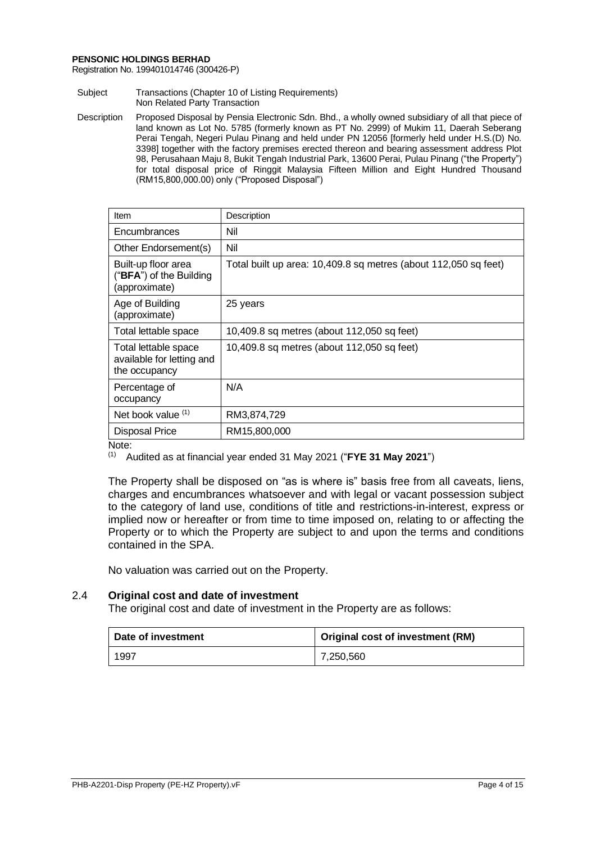Registration No. 199401014746 (300426-P)

Subject Transactions (Chapter 10 of Listing Requirements) Non Related Party Transaction

Description Proposed Disposal by Pensia Electronic Sdn. Bhd., a wholly owned subsidiary of all that piece of land known as Lot No. 5785 (formerly known as PT No. 2999) of Mukim 11, Daerah Seberang Perai Tengah, Negeri Pulau Pinang and held under PN 12056 [formerly held under H.S.(D) No. 3398] together with the factory premises erected thereon and bearing assessment address Plot 98, Perusahaan Maju 8, Bukit Tengah Industrial Park, 13600 Perai, Pulau Pinang ("the Property") for total disposal price of Ringgit Malaysia Fifteen Million and Eight Hundred Thousand (RM15,800,000.00) only ("Proposed Disposal")

| Description                                                     |
|-----------------------------------------------------------------|
| Nil                                                             |
| Nil                                                             |
| Total built up area: 10,409.8 sq metres (about 112,050 sq feet) |
| 25 years                                                        |
| 10,409.8 sq metres (about 112,050 sq feet)                      |
| 10,409.8 sq metres (about 112,050 sq feet)                      |
| N/A                                                             |
| RM3,874,729                                                     |
| RM15,800,000                                                    |
|                                                                 |

Note:

(1) Audited as at financial year ended 31 May 2021 ("**FYE 31 May 2021**")

The Property shall be disposed on "as is where is" basis free from all caveats, liens, charges and encumbrances whatsoever and with legal or vacant possession subject to the category of land use, conditions of title and restrictions-in-interest, express or implied now or hereafter or from time to time imposed on, relating to or affecting the Property or to which the Property are subject to and upon the terms and conditions contained in the SPA.

No valuation was carried out on the Property.

# 2.4 **Original cost and date of investment**

The original cost and date of investment in the Property are as follows:

| Date of investment | Original cost of investment (RM) |
|--------------------|----------------------------------|
| 1997               | 7,250,560                        |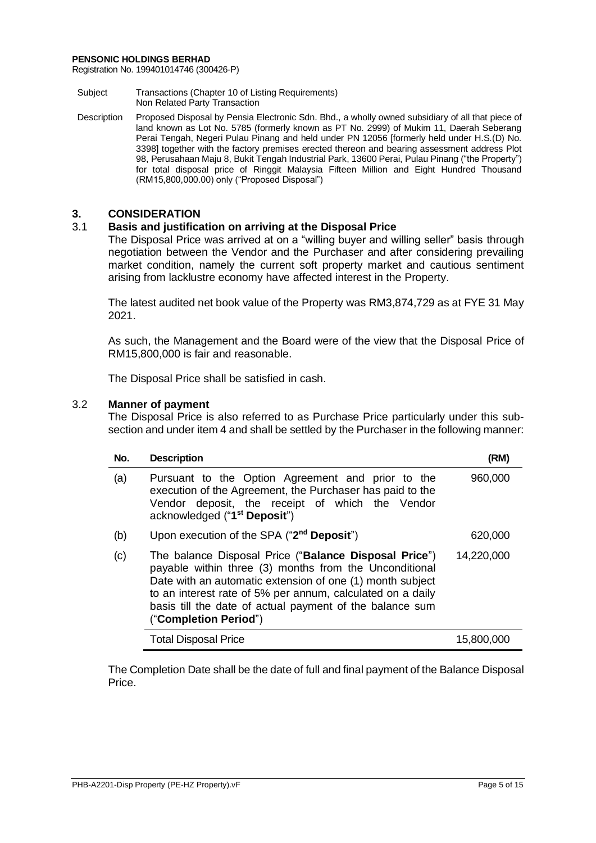Registration No. 199401014746 (300426-P)

- Subject Transactions (Chapter 10 of Listing Requirements) Non Related Party Transaction
- Description Proposed Disposal by Pensia Electronic Sdn. Bhd., a wholly owned subsidiary of all that piece of land known as Lot No. 5785 (formerly known as PT No. 2999) of Mukim 11, Daerah Seberang Perai Tengah, Negeri Pulau Pinang and held under PN 12056 [formerly held under H.S.(D) No. 3398] together with the factory premises erected thereon and bearing assessment address Plot 98, Perusahaan Maju 8, Bukit Tengah Industrial Park, 13600 Perai, Pulau Pinang ("the Property") for total disposal price of Ringgit Malaysia Fifteen Million and Eight Hundred Thousand (RM15,800,000.00) only ("Proposed Disposal")

# **3. CONSIDERATION**

# 3.1 **Basis and justification on arriving at the Disposal Price**

The Disposal Price was arrived at on a "willing buyer and willing seller" basis through negotiation between the Vendor and the Purchaser and after considering prevailing market condition, namely the current soft property market and cautious sentiment arising from lacklustre economy have affected interest in the Property.

The latest audited net book value of the Property was RM3,874,729 as at FYE 31 May 2021.

As such, the Management and the Board were of the view that the Disposal Price of RM15,800,000 is fair and reasonable.

The Disposal Price shall be satisfied in cash.

# 3.2 **Manner of payment**

The Disposal Price is also referred to as Purchase Price particularly under this subsection and under item 4 and shall be settled by the Purchaser in the following manner:

| No. | <b>Description</b>                                                                                                                                                                                                                                                                                                              | (RM)       |
|-----|---------------------------------------------------------------------------------------------------------------------------------------------------------------------------------------------------------------------------------------------------------------------------------------------------------------------------------|------------|
| (a) | Pursuant to the Option Agreement and prior to the<br>execution of the Agreement, the Purchaser has paid to the<br>Vendor deposit, the receipt of which the Vendor<br>acknowledged ("1 <sup>st</sup> Deposit")                                                                                                                   | 960,000    |
| (b) | Upon execution of the SPA ("2 <sup>nd</sup> Deposit")                                                                                                                                                                                                                                                                           | 620,000    |
| (c) | The balance Disposal Price ("Balance Disposal Price")<br>payable within three (3) months from the Unconditional<br>Date with an automatic extension of one (1) month subject<br>to an interest rate of 5% per annum, calculated on a daily<br>basis till the date of actual payment of the balance sum<br>("Completion Period") | 14,220,000 |
|     | <b>Total Disposal Price</b>                                                                                                                                                                                                                                                                                                     | 15,800,000 |

The Completion Date shall be the date of full and final payment of the Balance Disposal Price.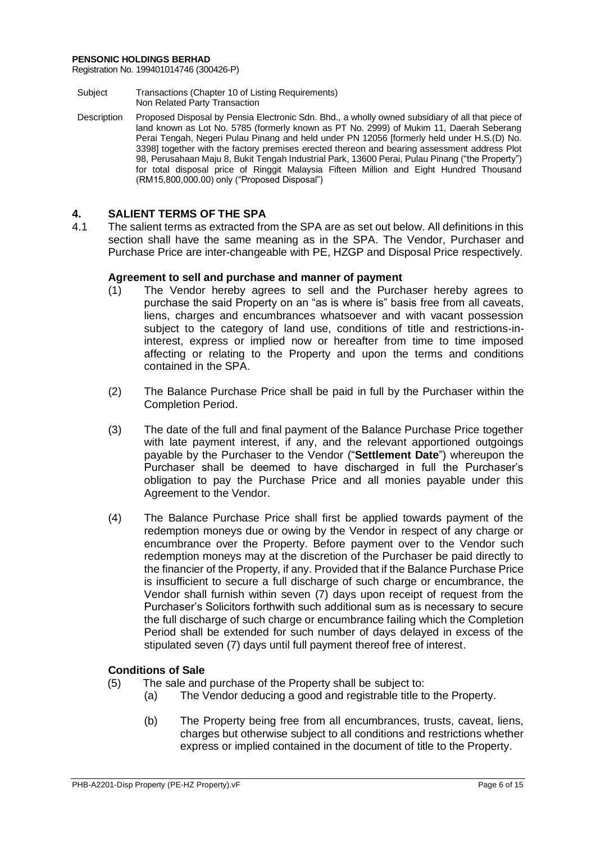Registration No. 199401014746 (300426-P)

- Subject Transactions (Chapter 10 of Listing Requirements) Non Related Party Transaction
- Description Proposed Disposal by Pensia Electronic Sdn. Bhd., a wholly owned subsidiary of all that piece of land known as Lot No. 5785 (formerly known as PT No. 2999) of Mukim 11, Daerah Seberang Perai Tengah, Negeri Pulau Pinang and held under PN 12056 [formerly held under H.S.(D) No. 3398] together with the factory premises erected thereon and bearing assessment address Plot 98, Perusahaan Maju 8, Bukit Tengah Industrial Park, 13600 Perai, Pulau Pinang ("the Property") for total disposal price of Ringgit Malaysia Fifteen Million and Eight Hundred Thousand (RM15,800,000.00) only ("Proposed Disposal")

# **4. SALIENT TERMS OF THE SPA**

The salient terms as extracted from the SPA are as set out below. All definitions in this section shall have the same meaning as in the SPA. The Vendor, Purchaser and Purchase Price are inter-changeable with PE, HZGP and Disposal Price respectively.

# **Agreement to sell and purchase and manner of payment**

- (1) The Vendor hereby agrees to sell and the Purchaser hereby agrees to purchase the said Property on an "as is where is" basis free from all caveats, liens, charges and encumbrances whatsoever and with vacant possession subject to the category of land use, conditions of title and restrictions-ininterest, express or implied now or hereafter from time to time imposed affecting or relating to the Property and upon the terms and conditions contained in the SPA.
- (2) The Balance Purchase Price shall be paid in full by the Purchaser within the Completion Period.
- (3) The date of the full and final payment of the Balance Purchase Price together with late payment interest, if any, and the relevant apportioned outgoings payable by the Purchaser to the Vendor ("**Settlement Date**") whereupon the Purchaser shall be deemed to have discharged in full the Purchaser's obligation to pay the Purchase Price and all monies payable under this Agreement to the Vendor.
- (4) The Balance Purchase Price shall first be applied towards payment of the redemption moneys due or owing by the Vendor in respect of any charge or encumbrance over the Property. Before payment over to the Vendor such redemption moneys may at the discretion of the Purchaser be paid directly to the financier of the Property, if any. Provided that if the Balance Purchase Price is insufficient to secure a full discharge of such charge or encumbrance, the Vendor shall furnish within seven (7) days upon receipt of request from the Purchaser's Solicitors forthwith such additional sum as is necessary to secure the full discharge of such charge or encumbrance failing which the Completion Period shall be extended for such number of days delayed in excess of the stipulated seven (7) days until full payment thereof free of interest.

# **Conditions of Sale**

- (5) The sale and purchase of the Property shall be subject to:
	- (a) The Vendor deducing a good and registrable title to the Property.
	- (b) The Property being free from all encumbrances, trusts, caveat, liens, charges but otherwise subject to all conditions and restrictions whether express or implied contained in the document of title to the Property.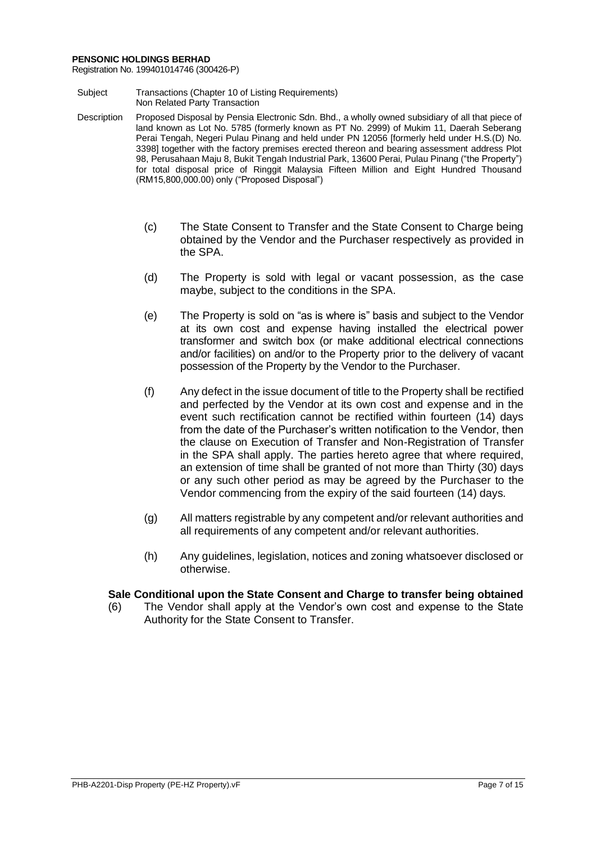Registration No. 199401014746 (300426-P)

- Subject Transactions (Chapter 10 of Listing Requirements) Non Related Party Transaction
- Description Proposed Disposal by Pensia Electronic Sdn. Bhd., a wholly owned subsidiary of all that piece of land known as Lot No. 5785 (formerly known as PT No. 2999) of Mukim 11, Daerah Seberang Perai Tengah, Negeri Pulau Pinang and held under PN 12056 [formerly held under H.S.(D) No. 3398] together with the factory premises erected thereon and bearing assessment address Plot 98, Perusahaan Maju 8, Bukit Tengah Industrial Park, 13600 Perai, Pulau Pinang ("the Property") for total disposal price of Ringgit Malaysia Fifteen Million and Eight Hundred Thousand (RM15,800,000.00) only ("Proposed Disposal")
	- (c) The State Consent to Transfer and the State Consent to Charge being obtained by the Vendor and the Purchaser respectively as provided in the SPA.
	- (d) The Property is sold with legal or vacant possession, as the case maybe, subject to the conditions in the SPA.
	- (e) The Property is sold on "as is where is" basis and subject to the Vendor at its own cost and expense having installed the electrical power transformer and switch box (or make additional electrical connections and/or facilities) on and/or to the Property prior to the delivery of vacant possession of the Property by the Vendor to the Purchaser.
	- (f) Any defect in the issue document of title to the Property shall be rectified and perfected by the Vendor at its own cost and expense and in the event such rectification cannot be rectified within fourteen (14) days from the date of the Purchaser's written notification to the Vendor, then the clause on Execution of Transfer and Non-Registration of Transfer in the SPA shall apply. The parties hereto agree that where required, an extension of time shall be granted of not more than Thirty (30) days or any such other period as may be agreed by the Purchaser to the Vendor commencing from the expiry of the said fourteen (14) days.
	- (g) All matters registrable by any competent and/or relevant authorities and all requirements of any competent and/or relevant authorities.
	- (h) Any guidelines, legislation, notices and zoning whatsoever disclosed or otherwise.

# **Sale Conditional upon the State Consent and Charge to transfer being obtained**

(6) The Vendor shall apply at the Vendor's own cost and expense to the State Authority for the State Consent to Transfer.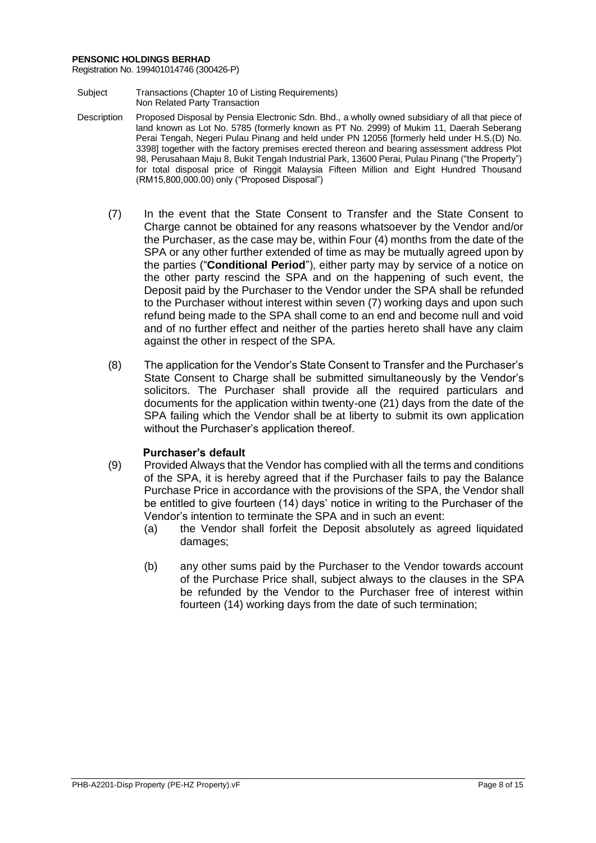Registration No. 199401014746 (300426-P)

- Subject Transactions (Chapter 10 of Listing Requirements) Non Related Party Transaction
- Description Proposed Disposal by Pensia Electronic Sdn. Bhd., a wholly owned subsidiary of all that piece of land known as Lot No. 5785 (formerly known as PT No. 2999) of Mukim 11, Daerah Seberang Perai Tengah, Negeri Pulau Pinang and held under PN 12056 [formerly held under H.S.(D) No. 3398] together with the factory premises erected thereon and bearing assessment address Plot 98, Perusahaan Maju 8, Bukit Tengah Industrial Park, 13600 Perai, Pulau Pinang ("the Property") for total disposal price of Ringgit Malaysia Fifteen Million and Eight Hundred Thousand (RM15,800,000.00) only ("Proposed Disposal")
	- (7) In the event that the State Consent to Transfer and the State Consent to Charge cannot be obtained for any reasons whatsoever by the Vendor and/or the Purchaser, as the case may be, within Four (4) months from the date of the SPA or any other further extended of time as may be mutually agreed upon by the parties ("**Conditional Period**"), either party may by service of a notice on the other party rescind the SPA and on the happening of such event, the Deposit paid by the Purchaser to the Vendor under the SPA shall be refunded to the Purchaser without interest within seven (7) working days and upon such refund being made to the SPA shall come to an end and become null and void and of no further effect and neither of the parties hereto shall have any claim against the other in respect of the SPA.
	- (8) The application for the Vendor's State Consent to Transfer and the Purchaser's State Consent to Charge shall be submitted simultaneously by the Vendor's solicitors. The Purchaser shall provide all the required particulars and documents for the application within twenty-one (21) days from the date of the SPA failing which the Vendor shall be at liberty to submit its own application without the Purchaser's application thereof.

# **Purchaser's default**

- (9) Provided Always that the Vendor has complied with all the terms and conditions of the SPA, it is hereby agreed that if the Purchaser fails to pay the Balance Purchase Price in accordance with the provisions of the SPA, the Vendor shall be entitled to give fourteen (14) days' notice in writing to the Purchaser of the Vendor's intention to terminate the SPA and in such an event:
	- (a) the Vendor shall forfeit the Deposit absolutely as agreed liquidated damages;
	- (b) any other sums paid by the Purchaser to the Vendor towards account of the Purchase Price shall, subject always to the clauses in the SPA be refunded by the Vendor to the Purchaser free of interest within fourteen (14) working days from the date of such termination;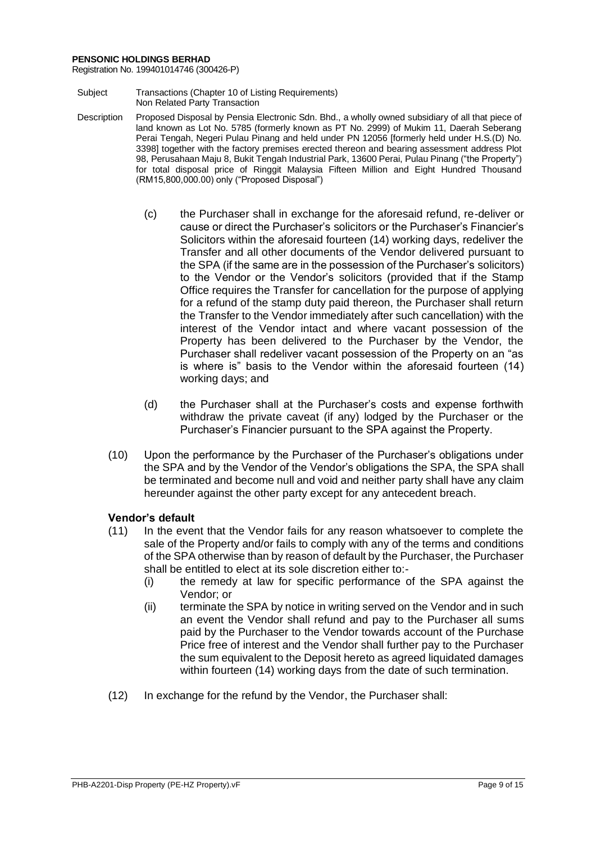Registration No. 199401014746 (300426-P)

- Subject Transactions (Chapter 10 of Listing Requirements) Non Related Party Transaction
- Description Proposed Disposal by Pensia Electronic Sdn. Bhd., a wholly owned subsidiary of all that piece of land known as Lot No. 5785 (formerly known as PT No. 2999) of Mukim 11, Daerah Seberang Perai Tengah, Negeri Pulau Pinang and held under PN 12056 [formerly held under H.S.(D) No. 3398] together with the factory premises erected thereon and bearing assessment address Plot 98, Perusahaan Maju 8, Bukit Tengah Industrial Park, 13600 Perai, Pulau Pinang ("the Property") for total disposal price of Ringgit Malaysia Fifteen Million and Eight Hundred Thousand (RM15,800,000.00) only ("Proposed Disposal")
	- (c) the Purchaser shall in exchange for the aforesaid refund, re-deliver or cause or direct the Purchaser's solicitors or the Purchaser's Financier's Solicitors within the aforesaid fourteen (14) working days, redeliver the Transfer and all other documents of the Vendor delivered pursuant to the SPA (if the same are in the possession of the Purchaser's solicitors) to the Vendor or the Vendor's solicitors (provided that if the Stamp Office requires the Transfer for cancellation for the purpose of applying for a refund of the stamp duty paid thereon, the Purchaser shall return the Transfer to the Vendor immediately after such cancellation) with the interest of the Vendor intact and where vacant possession of the Property has been delivered to the Purchaser by the Vendor, the Purchaser shall redeliver vacant possession of the Property on an "as is where is" basis to the Vendor within the aforesaid fourteen (14) working days; and
	- (d) the Purchaser shall at the Purchaser's costs and expense forthwith withdraw the private caveat (if any) lodged by the Purchaser or the Purchaser's Financier pursuant to the SPA against the Property.
	- (10) Upon the performance by the Purchaser of the Purchaser's obligations under the SPA and by the Vendor of the Vendor's obligations the SPA, the SPA shall be terminated and become null and void and neither party shall have any claim hereunder against the other party except for any antecedent breach.

# **Vendor's default**

- (11) In the event that the Vendor fails for any reason whatsoever to complete the sale of the Property and/or fails to comply with any of the terms and conditions of the SPA otherwise than by reason of default by the Purchaser, the Purchaser shall be entitled to elect at its sole discretion either to:-
	- (i) the remedy at law for specific performance of the SPA against the Vendor; or
	- (ii) terminate the SPA by notice in writing served on the Vendor and in such an event the Vendor shall refund and pay to the Purchaser all sums paid by the Purchaser to the Vendor towards account of the Purchase Price free of interest and the Vendor shall further pay to the Purchaser the sum equivalent to the Deposit hereto as agreed liquidated damages within fourteen (14) working days from the date of such termination.
- (12) In exchange for the refund by the Vendor, the Purchaser shall: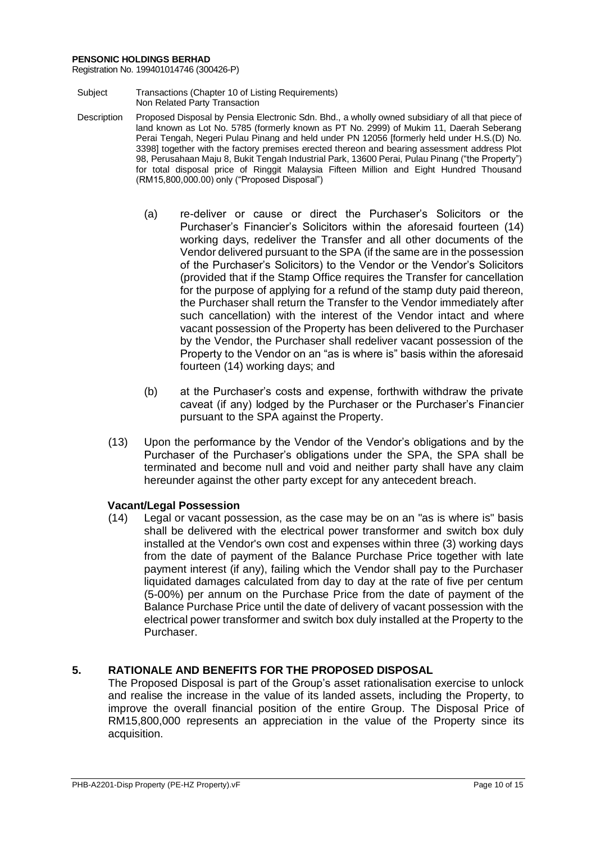Registration No. 199401014746 (300426-P)

- Subject Transactions (Chapter 10 of Listing Requirements) Non Related Party Transaction
- Description Proposed Disposal by Pensia Electronic Sdn. Bhd., a wholly owned subsidiary of all that piece of land known as Lot No. 5785 (formerly known as PT No. 2999) of Mukim 11, Daerah Seberang Perai Tengah, Negeri Pulau Pinang and held under PN 12056 [formerly held under H.S.(D) No. 3398] together with the factory premises erected thereon and bearing assessment address Plot 98, Perusahaan Maju 8, Bukit Tengah Industrial Park, 13600 Perai, Pulau Pinang ("the Property") for total disposal price of Ringgit Malaysia Fifteen Million and Eight Hundred Thousand (RM15,800,000.00) only ("Proposed Disposal")
	- (a) re-deliver or cause or direct the Purchaser's Solicitors or the Purchaser's Financier's Solicitors within the aforesaid fourteen (14) working days, redeliver the Transfer and all other documents of the Vendor delivered pursuant to the SPA (if the same are in the possession of the Purchaser's Solicitors) to the Vendor or the Vendor's Solicitors (provided that if the Stamp Office requires the Transfer for cancellation for the purpose of applying for a refund of the stamp duty paid thereon, the Purchaser shall return the Transfer to the Vendor immediately after such cancellation) with the interest of the Vendor intact and where vacant possession of the Property has been delivered to the Purchaser by the Vendor, the Purchaser shall redeliver vacant possession of the Property to the Vendor on an "as is where is" basis within the aforesaid fourteen (14) working days; and
	- (b) at the Purchaser's costs and expense, forthwith withdraw the private caveat (if any) lodged by the Purchaser or the Purchaser's Financier pursuant to the SPA against the Property.
	- (13) Upon the performance by the Vendor of the Vendor's obligations and by the Purchaser of the Purchaser's obligations under the SPA, the SPA shall be terminated and become null and void and neither party shall have any claim hereunder against the other party except for any antecedent breach.

# **Vacant/Legal Possession**

(14) Legal or vacant possession, as the case may be on an "as is where is" basis shall be delivered with the electrical power transformer and switch box duly installed at the Vendor's own cost and expenses within three (3) working days from the date of payment of the Balance Purchase Price together with late payment interest (if any), failing which the Vendor shall pay to the Purchaser liquidated damages calculated from day to day at the rate of five per centum (5-00%) per annum on the Purchase Price from the date of payment of the Balance Purchase Price until the date of delivery of vacant possession with the electrical power transformer and switch box duly installed at the Property to the Purchaser.

# **5. RATIONALE AND BENEFITS FOR THE PROPOSED DISPOSAL**

The Proposed Disposal is part of the Group's asset rationalisation exercise to unlock and realise the increase in the value of its landed assets, including the Property, to improve the overall financial position of the entire Group. The Disposal Price of RM15,800,000 represents an appreciation in the value of the Property since its acquisition.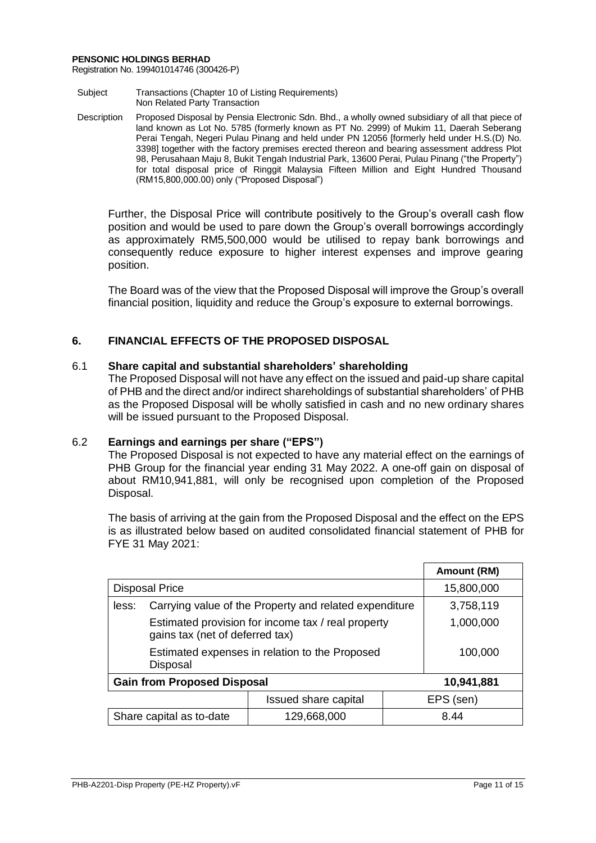Registration No. 199401014746 (300426-P)

- Subject Transactions (Chapter 10 of Listing Requirements) Non Related Party Transaction
- Description Proposed Disposal by Pensia Electronic Sdn. Bhd., a wholly owned subsidiary of all that piece of land known as Lot No. 5785 (formerly known as PT No. 2999) of Mukim 11, Daerah Seberang Perai Tengah, Negeri Pulau Pinang and held under PN 12056 [formerly held under H.S.(D) No. 3398] together with the factory premises erected thereon and bearing assessment address Plot 98, Perusahaan Maju 8, Bukit Tengah Industrial Park, 13600 Perai, Pulau Pinang ("the Property") for total disposal price of Ringgit Malaysia Fifteen Million and Eight Hundred Thousand (RM15,800,000.00) only ("Proposed Disposal")

Further, the Disposal Price will contribute positively to the Group's overall cash flow position and would be used to pare down the Group's overall borrowings accordingly as approximately RM5,500,000 would be utilised to repay bank borrowings and consequently reduce exposure to higher interest expenses and improve gearing position.

The Board was of the view that the Proposed Disposal will improve the Group's overall financial position, liquidity and reduce the Group's exposure to external borrowings.

# **6. FINANCIAL EFFECTS OF THE PROPOSED DISPOSAL**

# 6.1 **Share capital and substantial shareholders' shareholding**

The Proposed Disposal will not have any effect on the issued and paid-up share capital of PHB and the direct and/or indirect shareholdings of substantial shareholders' of PHB as the Proposed Disposal will be wholly satisfied in cash and no new ordinary shares will be issued pursuant to the Proposed Disposal.

# 6.2 **Earnings and earnings per share ("EPS")**

The Proposed Disposal is not expected to have any material effect on the earnings of PHB Group for the financial year ending 31 May 2022. A one-off gain on disposal of about RM10,941,881, will only be recognised upon completion of the Proposed Disposal.

The basis of arriving at the gain from the Proposed Disposal and the effect on the EPS is as illustrated below based on audited consolidated financial statement of PHB for FYE 31 May 2021:

|                                                            |                                                                                       | Amount (RM) |  |
|------------------------------------------------------------|---------------------------------------------------------------------------------------|-------------|--|
| <b>Disposal Price</b>                                      | 15,800,000                                                                            |             |  |
| less:                                                      | Carrying value of the Property and related expenditure                                |             |  |
|                                                            | Estimated provision for income tax / real property<br>gains tax (net of deferred tax) |             |  |
| Estimated expenses in relation to the Proposed<br>Disposal | 100,000                                                                               |             |  |
| <b>Gain from Proposed Disposal</b>                         | 10,941,881                                                                            |             |  |
|                                                            | Issued share capital                                                                  | EPS (sen)   |  |
| Share capital as to-date                                   | 129,668,000                                                                           | 8.44        |  |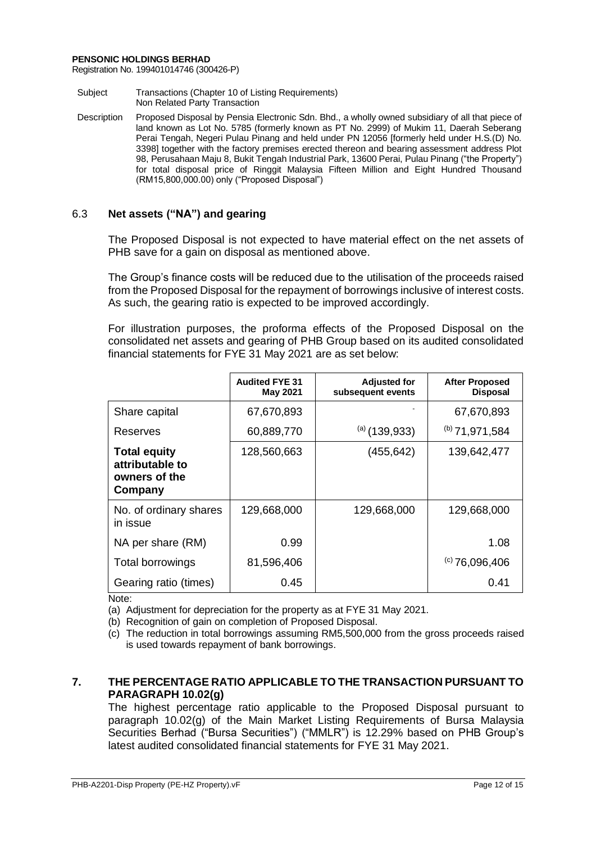Registration No. 199401014746 (300426-P)

- Subject Transactions (Chapter 10 of Listing Requirements) Non Related Party Transaction
- Description Proposed Disposal by Pensia Electronic Sdn. Bhd., a wholly owned subsidiary of all that piece of land known as Lot No. 5785 (formerly known as PT No. 2999) of Mukim 11, Daerah Seberang Perai Tengah, Negeri Pulau Pinang and held under PN 12056 [formerly held under H.S.(D) No. 3398] together with the factory premises erected thereon and bearing assessment address Plot 98, Perusahaan Maju 8, Bukit Tengah Industrial Park, 13600 Perai, Pulau Pinang ("the Property") for total disposal price of Ringgit Malaysia Fifteen Million and Eight Hundred Thousand (RM15,800,000.00) only ("Proposed Disposal")

# 6.3 **Net assets ("NA") and gearing**

The Proposed Disposal is not expected to have material effect on the net assets of PHB save for a gain on disposal as mentioned above.

The Group's finance costs will be reduced due to the utilisation of the proceeds raised from the Proposed Disposal for the repayment of borrowings inclusive of interest costs. As such, the gearing ratio is expected to be improved accordingly.

For illustration purposes, the proforma effects of the Proposed Disposal on the consolidated net assets and gearing of PHB Group based on its audited consolidated financial statements for FYE 31 May 2021 are as set below:

|                                                                    | <b>Audited FYE 31</b><br><b>May 2021</b> | <b>Adjusted for</b><br>subsequent events | <b>After Proposed</b><br><b>Disposal</b> |
|--------------------------------------------------------------------|------------------------------------------|------------------------------------------|------------------------------------------|
| Share capital                                                      | 67,670,893                               |                                          | 67,670,893                               |
| Reserves                                                           | 60,889,770                               | $(a)$ (139,933)                          | $(b)$ 71,971,584                         |
| <b>Total equity</b><br>attributable to<br>owners of the<br>Company | 128,560,663                              | (455, 642)                               | 139,642,477                              |
| No. of ordinary shares<br>in issue                                 | 129,668,000                              | 129,668,000                              | 129,668,000                              |
| NA per share (RM)                                                  | 0.99                                     |                                          | 1.08                                     |
| <b>Total borrowings</b>                                            | 81,596,406                               |                                          | $(c)$ 76,096,406                         |
| Gearing ratio (times)                                              | 0.45                                     |                                          | 0.41                                     |

Note:

(a) Adjustment for depreciation for the property as at FYE 31 May 2021.

(b) Recognition of gain on completion of Proposed Disposal.

(c) The reduction in total borrowings assuming RM5,500,000 from the gross proceeds raised is used towards repayment of bank borrowings.

# **7. THE PERCENTAGE RATIO APPLICABLE TO THE TRANSACTION PURSUANT TO PARAGRAPH 10.02(g)**

The highest percentage ratio applicable to the Proposed Disposal pursuant to paragraph 10.02(g) of the Main Market Listing Requirements of Bursa Malaysia Securities Berhad ("Bursa Securities") ("MMLR") is 12.29% based on PHB Group's latest audited consolidated financial statements for FYE 31 May 2021.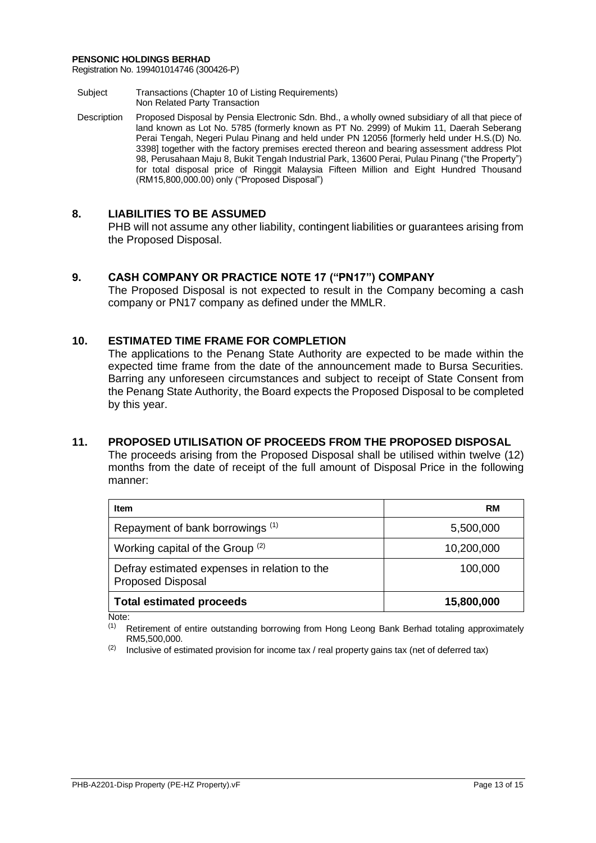Registration No. 199401014746 (300426-P)

- Subject Transactions (Chapter 10 of Listing Requirements) Non Related Party Transaction
- Description Proposed Disposal by Pensia Electronic Sdn. Bhd., a wholly owned subsidiary of all that piece of land known as Lot No. 5785 (formerly known as PT No. 2999) of Mukim 11, Daerah Seberang Perai Tengah, Negeri Pulau Pinang and held under PN 12056 [formerly held under H.S.(D) No. 3398] together with the factory premises erected thereon and bearing assessment address Plot 98, Perusahaan Maju 8, Bukit Tengah Industrial Park, 13600 Perai, Pulau Pinang ("the Property") for total disposal price of Ringgit Malaysia Fifteen Million and Eight Hundred Thousand (RM15,800,000.00) only ("Proposed Disposal")

# **8. LIABILITIES TO BE ASSUMED**

PHB will not assume any other liability, contingent liabilities or guarantees arising from the Proposed Disposal.

# **9. CASH COMPANY OR PRACTICE NOTE 17 ("PN17") COMPANY**

The Proposed Disposal is not expected to result in the Company becoming a cash company or PN17 company as defined under the MMLR.

# **10. ESTIMATED TIME FRAME FOR COMPLETION**

The applications to the Penang State Authority are expected to be made within the expected time frame from the date of the announcement made to Bursa Securities. Barring any unforeseen circumstances and subject to receipt of State Consent from the Penang State Authority, the Board expects the Proposed Disposal to be completed by this year.

# **11. PROPOSED UTILISATION OF PROCEEDS FROM THE PROPOSED DISPOSAL**

The proceeds arising from the Proposed Disposal shall be utilised within twelve (12) months from the date of receipt of the full amount of Disposal Price in the following manner:

| <b>Item</b>                                                              | <b>RM</b>  |
|--------------------------------------------------------------------------|------------|
| Repayment of bank borrowings (1)                                         | 5,500,000  |
| Working capital of the Group $(2)$                                       | 10,200,000 |
| Defray estimated expenses in relation to the<br><b>Proposed Disposal</b> | 100,000    |
| <b>Total estimated proceeds</b>                                          | 15,800,000 |

Note:

(1) Retirement of entire outstanding borrowing from Hong Leong Bank Berhad totaling approximately RM5,500,000.

 $(2)$  Inclusive of estimated provision for income tax / real property gains tax (net of deferred tax)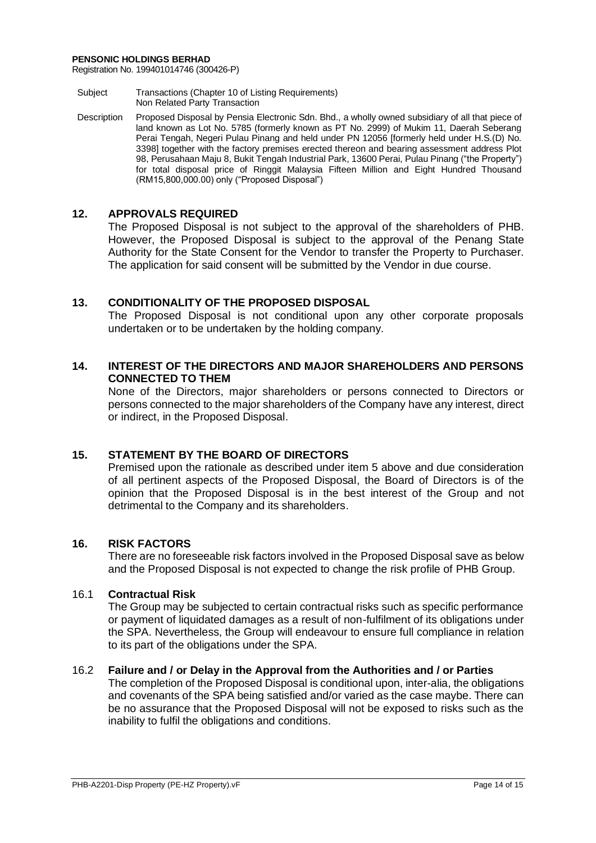Registration No. 199401014746 (300426-P)

- Subject Transactions (Chapter 10 of Listing Requirements) Non Related Party Transaction
- Description Proposed Disposal by Pensia Electronic Sdn. Bhd., a wholly owned subsidiary of all that piece of land known as Lot No. 5785 (formerly known as PT No. 2999) of Mukim 11, Daerah Seberang Perai Tengah, Negeri Pulau Pinang and held under PN 12056 [formerly held under H.S.(D) No. 3398] together with the factory premises erected thereon and bearing assessment address Plot 98, Perusahaan Maju 8, Bukit Tengah Industrial Park, 13600 Perai, Pulau Pinang ("the Property") for total disposal price of Ringgit Malaysia Fifteen Million and Eight Hundred Thousand (RM15,800,000.00) only ("Proposed Disposal")

# **12. APPROVALS REQUIRED**

The Proposed Disposal is not subject to the approval of the shareholders of PHB. However, the Proposed Disposal is subject to the approval of the Penang State Authority for the State Consent for the Vendor to transfer the Property to Purchaser. The application for said consent will be submitted by the Vendor in due course.

# **13. CONDITIONALITY OF THE PROPOSED DISPOSAL**

The Proposed Disposal is not conditional upon any other corporate proposals undertaken or to be undertaken by the holding company.

# **14. INTEREST OF THE DIRECTORS AND MAJOR SHAREHOLDERS AND PERSONS CONNECTED TO THEM**

None of the Directors, major shareholders or persons connected to Directors or persons connected to the major shareholders of the Company have any interest, direct or indirect, in the Proposed Disposal.

# **15. STATEMENT BY THE BOARD OF DIRECTORS**

Premised upon the rationale as described under item 5 above and due consideration of all pertinent aspects of the Proposed Disposal, the Board of Directors is of the opinion that the Proposed Disposal is in the best interest of the Group and not detrimental to the Company and its shareholders.

# **16. RISK FACTORS**

There are no foreseeable risk factors involved in the Proposed Disposal save as below and the Proposed Disposal is not expected to change the risk profile of PHB Group.

# 16.1 **Contractual Risk**

The Group may be subjected to certain contractual risks such as specific performance or payment of liquidated damages as a result of non-fulfilment of its obligations under the SPA. Nevertheless, the Group will endeavour to ensure full compliance in relation to its part of the obligations under the SPA.

# 16.2 **Failure and / or Delay in the Approval from the Authorities and / or Parties**

The completion of the Proposed Disposal is conditional upon, inter-alia, the obligations and covenants of the SPA being satisfied and/or varied as the case maybe. There can be no assurance that the Proposed Disposal will not be exposed to risks such as the inability to fulfil the obligations and conditions.